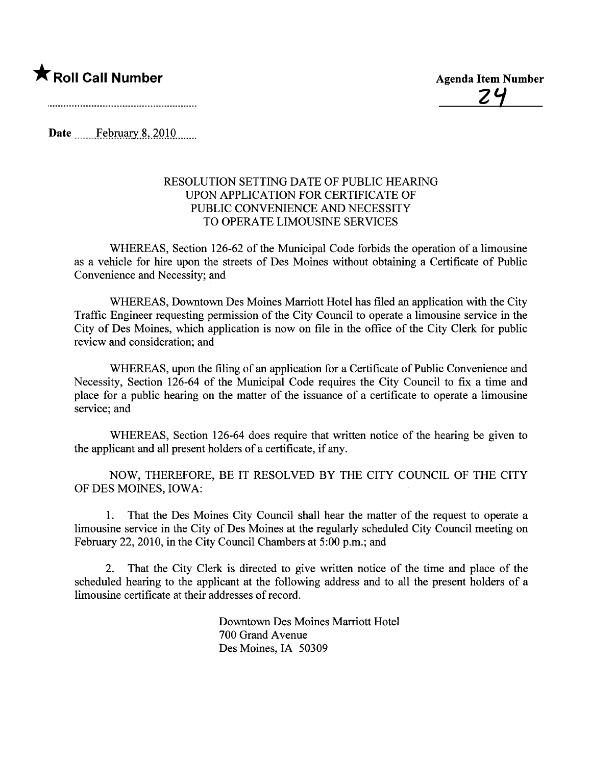### **\*** Roll Call Number Agenda Item Number

2'1

Date February 8, 2010

#### RESOLUTION SETTING DATE OF PUBLIC HEARING UPON APPLICATION FOR CERTIFICATE OF PUBLIC CONVENIENCE AND NECESSITY TO OPERATE LIMOUSINE SERVICES

WHEREAS, Section 126-62 of the Municipal Code forbids the operation of a limousine as a vehicle for hire upon the streets of Des Moines without obtaining a Certificate of Public Convenience and Necessity; and

WHEREAS, Downtown Des Moines Mariott Hotel has filed an application with the City Traffic Engineer requesting permission of the City Council to operate a limousine service in the City of Des Moines, which application is now on fie in the office of the City Clerk for public review and consideration; and

WHEREAS, upon the fiing of an application for a Certificate of Public Convenience and Necessity, Section 126-64 of the Municipal Code requires the City Council to fix a time and place for a public hearing on the matter of the issuance of a certificate to operate a limousine service; and

WHEREAS, Section 126-64 does require that written notice of the hearing be given to the applicant and all present holders of a certificate, if any.

NOW, THEREFORE, BE IT RESOLVED BY THE CITY COUNCIL OF THE CITY OF DES MOINES, IOWA:

1. That the Des Moines City Council shall hear the matter of the request to operate a limousine service in the City of Des Moines at the regularly scheduled City Council meeting on February 22, 2010, in the City Council Chambers at 5:00 p.m.; and

2. That the City Clerk is directed to give written notice of the time and place of the scheduled hearing to the applicant at the following address and to all the present holders of a limousine certificate at their addresses of record.

> Downtown Des Moines Mariott Hotel 700 Grand Avenue Des Moines, IA 50309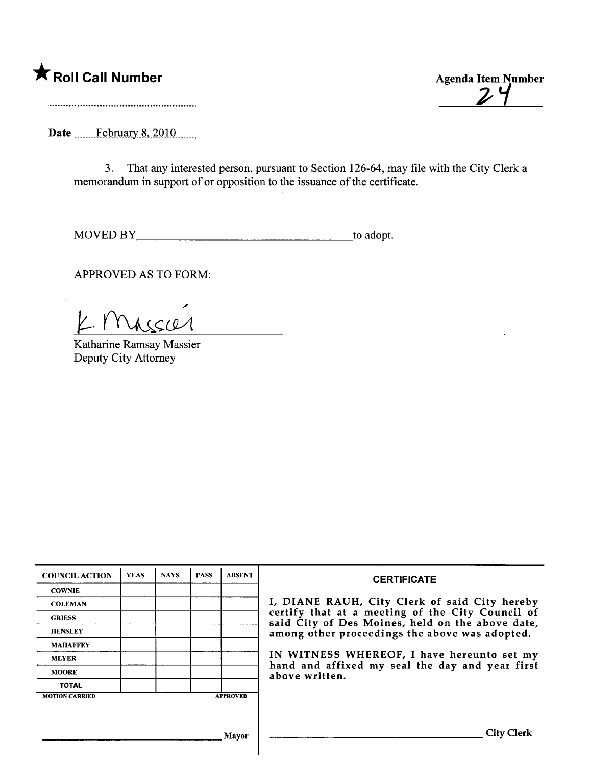\* Roll Call Number Agenda Item Number

 $24$ 

Date \_\_\_\_\_\_February 8, 2010 \_\_\_\_\_

3. That any interested person, pursuant to Section 126-64, may fie with the City Clerk a memorandum in support of or opposition to the issuance of the certificate.

MOVED BY to adopt.

APPROVED AS TO FORM:

.; K. Massier

Katharine Ramsay Massier Deputy City Attorney

| <b>COUNCIL ACTION</b> | <b>YEAS</b> | <b>NAYS</b> | <b>PASS</b> | <b>ABSENT</b>   | <b>CERTIFICATE</b>                                                                                   |  |  |  |  |  |
|-----------------------|-------------|-------------|-------------|-----------------|------------------------------------------------------------------------------------------------------|--|--|--|--|--|
| <b>COWNIE</b>         |             |             |             |                 |                                                                                                      |  |  |  |  |  |
| <b>COLEMAN</b>        |             |             |             |                 | I, DIANE RAUH, City Clerk of said City hereby                                                        |  |  |  |  |  |
| <b>GRIESS</b>         |             |             |             |                 | certify that at a meeting of the City Council of<br>said City of Des Moines, held on the above date, |  |  |  |  |  |
| <b>HENSLEY</b>        |             |             |             |                 | among other proceedings the above was adopted.                                                       |  |  |  |  |  |
| <b>MAHAFFEY</b>       |             |             |             |                 |                                                                                                      |  |  |  |  |  |
| <b>MEYER</b>          |             |             |             |                 | IN WITNESS WHEREOF, I have hereunto set my                                                           |  |  |  |  |  |
| <b>MOORE</b>          |             |             |             |                 | hand and affixed my seal the day and year first<br>above written.                                    |  |  |  |  |  |
| <b>TOTAL</b>          |             |             |             |                 |                                                                                                      |  |  |  |  |  |
| <b>MOTION CARRIED</b> |             |             |             | <b>APPROVED</b> |                                                                                                      |  |  |  |  |  |
|                       |             |             |             |                 |                                                                                                      |  |  |  |  |  |
|                       |             |             |             | Mayor           | <b>City Clerk</b>                                                                                    |  |  |  |  |  |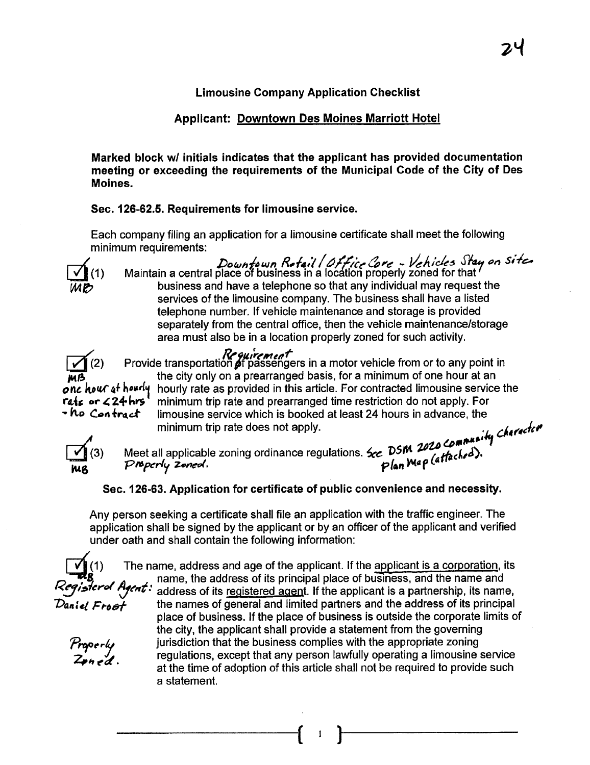#### Limousine Company Application Checklist

#### Applicant: Downtown Des Moines Marriott Hotel

Marked block w/ initials indicates that the applicant has provided documentation meeting or exceeding the requirements of the Municipal Code of the City of Des Moines.

Sec. 126-62.5. Requirements for limousine service.

Each company filing an application for a limousine certificate shall meet the following minimum requirements:



Downtown Retail / Office Core - Vehicles Stay on Site  $\mathbf{L}$ . (1) Maintain a central place of business in a location properly zoned for that business and have a telephone so that any individual may request the services of the limousine company. The business shall have a listed telephone number. If vehicle maintenance and storage is provided separately from the central office, then the vehicle maintenance/storage area must also be in a location properly zoned for such activity.



**Requirement**<br>Provide transportation of passengers in a motor vehicle from or to any point in the city only on a prearranged basis, for a minimum of one hour at an onc houf at hourly hourly rate as provided in this article. For contracted limousine service the rate of  $\mathcal{L}$ <br>rate or  $\mathcal{L}$  24 hrs minimum trip rate and prearranged time restriction do not apply. For minimum trip rate and prearranged time restriction do not apply. For •  $h$  Con fract limousine service which is booked at least 24 hours in advance, the minimum trip rate does not apply.  $\cdot \cdot \cdot$  herected



14 (3) Meet all applicable zoning ordinance regulations. See DSM 2020 Computing<br>mg Properly Zoned. Plan Map (attached).

#### Sec. 126-63. Application for certificate of public convenience and necessity.

Any person seeking a certificate shall file an application with the traffc engineer. The application shall be signed by the applicant or by an officer of the applicant and verified under oath and shall contain the following information:

Properly

 $\leftrightarrow$ n e $\alpha$  .

The name, address and age of the applicant. If the applicant is a corporation, its **Example 3** name, the address of its principal place of business, and the name and Register of Agent: address of its requistered agent. If the applicant is a partnership its name *Kegistere Heent:* address of its registered agent. If the applicant is a partnership, its name,<br>Dantel Freet the names of general and limited partners and the address of its principal the names of general and limited partners and the address of its principal place of business. If the place of business is outside the corporate limits of the city, the applicant shall provide a statement from the governing jurisdiction that the business complies with the appropriate zoning regulations, except that any person lawfully operating a limousine service at the time of adoption of this article shall not be required to provide such a statement.

 $\left( \begin{array}{cc} 1 \end{array} \right)$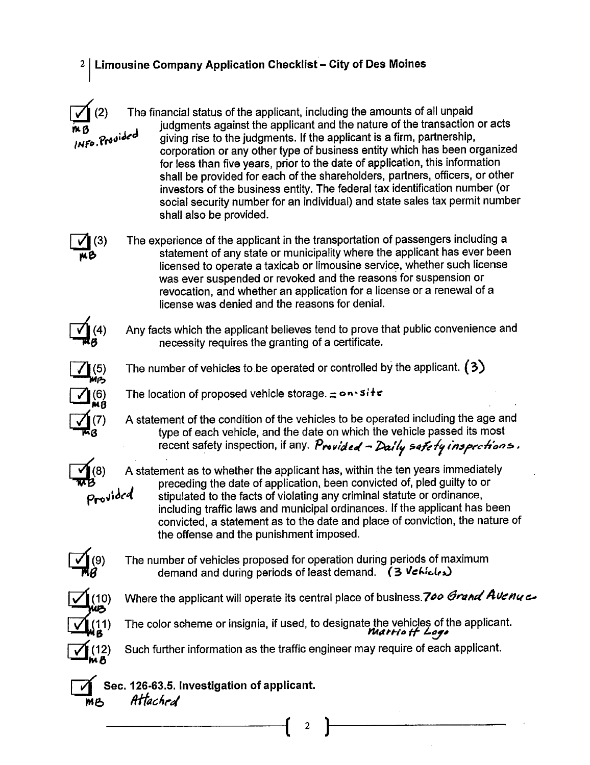#### 2 | Limousine Company Application Checklist - City of Des Moines

The financial status of the applicant, including the amounts of all unpaid<br>judgments against the applicant and the nature of the transaction or acts giving rise to the judgments. If the applicant is a firm, partnership, corporation or any other type of business entity which has been organized for less than five years, prior to the date of application, this information shall be provided for each of the shareholders, partners, officers, or other investors of the business entity. The federal tax identification number (or social security number for an individual) and state sales tax permit number shall also be provided.

The experience of the applicant in the transportation of passengers including a statement of any state or municipality where the applicant has ever been licensed to operate a taxicab or limousine service, whether such license was ever suspended or revoked and the reasons for suspension or revocation, and whether an application for a license or a renewal of a license was denied and the reasons for deniaL.



 $(3)$ 

m p

Any facts which the applicant believes tend to prove that public convenience and necessity requires the granting of a certificate.



The number of vehicles to be operated or controlled by the applicant.  $(3)$ 

 $\overline{MS}$  The location of proposed vehicle stars gives

 $\frac{1}{100}$  and the condition of the condition of the condition of the vehicle passed its most A statement of the condition of the vehicles to be operated including the age and recent safety inspection, if any. Provided - Daily safety inspections.

A statement as to whether the applicant has, within the ten years immediately **B** preceding the date of application, been convicted of, pled guilty to or<br>**Provided** stipulated to the facts of violating any criminal statute or ordinance, including traffic laws and municipal ordinances. If the applicant has been convicted, a statement as to the date and place of conviction, the nature of the offense and the punishment imposed.



The number of vehicles proposed for operation during periods of maximum demand and during periods of least demand.  $(3$  Vehicles



Where the applicant will operate its central place of business.700 Grand AVenue



The color scheme or insignia, if used, to designate the vehicles of the applicant.<br>*Marrie <del>II</del> Lege* 

Such further information as the traffic engineer may require of each applicant.

 $\left( \begin{array}{cc} 2 \end{array} \right)$ 

 $\widetilde{\mathcal{B}}$  Sec. 126-63.5. Investigation of applicant.<br>MB *Attached*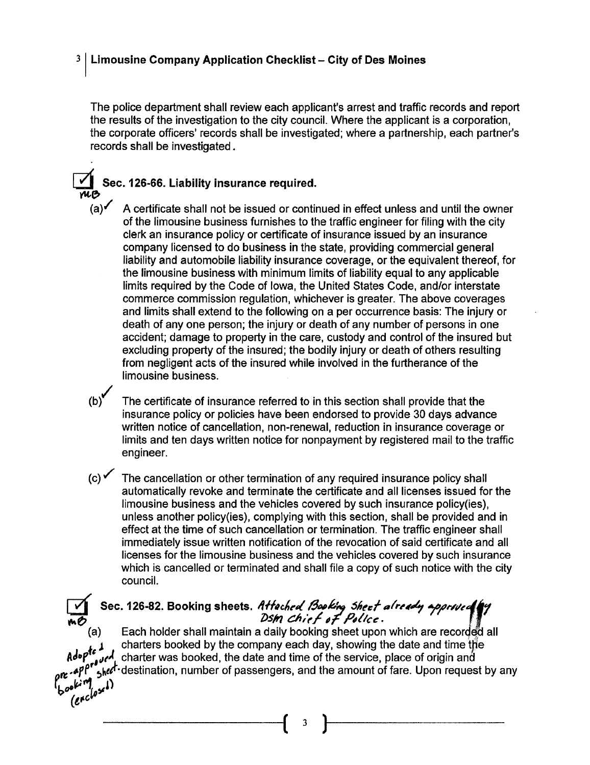#### $3$  Limousine Company Application Checklist - City of Des Moines

The police department shall review each applicant's arrest and traffc records and report the results of the investigation to the city counciL. Where the applicant is a corporation, the corporate officers' records shall be investigated; where a partnership, each partner's records shall be investigated.

#### Sec. 126-66. Liability insurance required.

- 74B  $(a)$  A certificate shall not be issued or continued in effect unless and until the owner of the limousine business furnishes to the traffic engineer for filing with the city clerk an insurance policy or certificate of insurance issued by an insurance company licensed to do business in the state, providing commercial general liabilty and automobile liabilty insurance coverage, or the equivalent thereof, for the limousine business with minimum limits of liabilty equal to any applicable limits required by the Code of Iowa, the United States Code, and/or interstate commerce commission regulation, whichever is greater. The above coverages and limits shall extend to the following on a per occurrence basis: The injury or death of any one person; the injury or death of any number of persons in one accident; damage to property in the care, custody and control of the insured but excluding property of the insured; the bodily injury or death of others resulting from negligent acts of the insured while involved in the furtherance of the limousine business.
	- (b)/ The certificate of insurance referred to in this section shall provide that the insurance policy or policies have been endorsed to provide 30 days advance written notice of cancellation, non-renewal, reduction in insurance coverage or limits and ten days written notice for nonpayment by registered mail to the traffc engineer.
	- $(c)$  The cancellation or other termination of any required insurance policy shall automatically revoke and terminate the certificate and all licenses issued for the limousine business and the vehicles covered by such insurance policy(ies), unless another policy(ies), complying with this section, shall be provided and in effect at the time of such cancellation or termination. The traffic engineer shall immediately issue written notification of the revocation of said certificate and all licenses for the limousine business and the vehicles covered by such insurance which is cancelled or terminated and shall file a copy of such notice with the city counciL.

## Sec. 126-82. Booking sheets. Attached Booking Sheet already approved by

Each holder shall maintain a daily booking sheet upon which are recorded all charters booked by the company each day, showing the date and time the adop<sup>te</sup> J<sub>ultuaria</sub>, booked by the company each day, showing the date and time the Adop<sup>te</sup> July charter was booked, the date and time of the service, place of origin and the service, place of origin and  $I_{\rm 5}$ hed<sup>t</sup> destination, number of passengers, and the amount of fare. Upon request by any  $\int_{\mathbb{R}} \rho \mathbf{e}^{i\mathbf{r} \cdot \mathbf{r}^{\prime}}$ 

 $(c, \cdot)$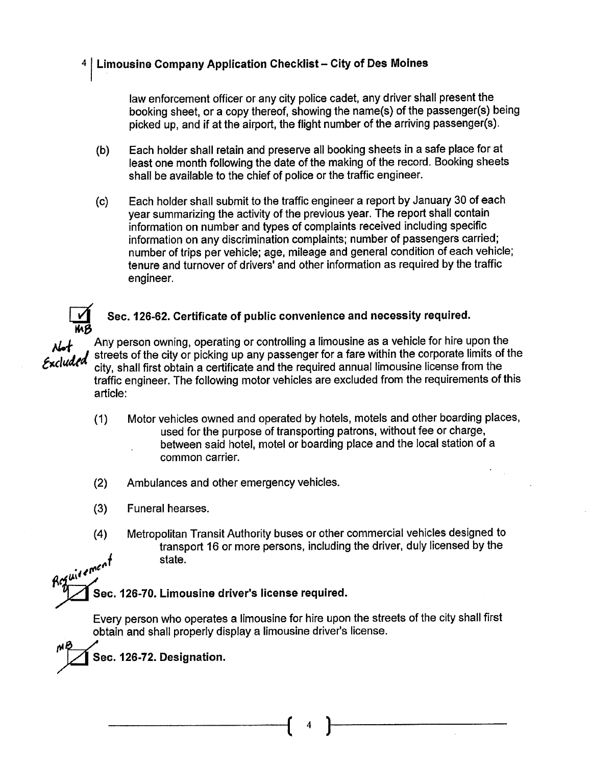#### 4 | Limousine Company Application Checklist - City of Des Moines

law enforcement officer or any city police cadet, any driver shall present the booking sheet, or a copy thereof, showing the name(s) of the passenger(s) being picked up, and if at the airport, the flight number of the arriving passenger(s).

- (b) Each holder shall retain and preserve all booking sheets in a safe place for at least one month following the date of the making of the record. Booking sheets shall be available to the chief of police or the traffic engineer.
- (c) Each holder shall submit to the traffic engineer a report by January 30 of each year summarizing the activity of the previous year. The report shall contain information on number and types of complaints received including specific information on any discrimination complaints; number of passengers carried; number of trips per vehicle; age, mileage and general condition of each vehicle; tenure and turnover of drivers' and other information as required by the traffic engineer.

# Sec. 126-62. Certificate of public convenience and necessity required.<br>Any person owning, operating or controlling a limousine as a vehicle for hire upon the

 $\kappa$ duded streets of the city or picking up any passenger for a fare within the corporate limits of the  $\kappa$ duded a situ a hall first a hire upon the security is a very final property. city, shall first obtain a certificate and the required annual limousine license from the traffic engineer. The following motor vehicles are excluded from the requirements of this article:

- (1) Motor vehicles owned and operated by hotels, motels and other boarding places, used for the purpose of transporting patrons, without fee or charge, between said hotel, motel or boarding place and the local station of a common carrier.
- (2) Ambulances and other emergency vehicles.
- (3) Funeral hearses.
- (4) Metropolitan Transit Authority buses or other commercial vehicles designed to transport 16 or more persons, including the driver, duly licensed by the state. Regulaement

Sec. 126-70. Limousine driver's license required.

Every person who operates a limousine for hire upon the streets of the city shall first obtain and shall properly display a limousine driver's license.

Sec. 126-72. Designation.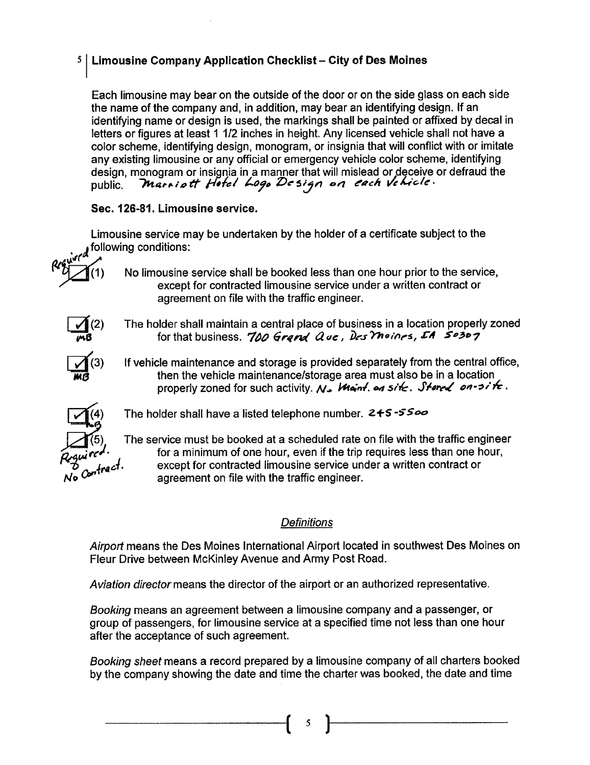#### $5$  Limousine Company Application Checklist - City of Des Moines

Each limousine may bear on the outside of the door or on the side glass on each side the name of the company and, in addition, may bear an identifying design. If an identifying name or design is used. the markings shall be painted or affixed by decal in letters or figures at least 1 1/2 inches in height. Any licensed vehicle shall not have a color scheme, identifying design, monogram, or insignia that wil conflict with or imitate any existing limousine or any official or emergency vehicle color scheme, identifying design, monogram or insignia in a manner that will mislead or deceive or defraud the public. *Inarribil Finel troje De sign on e*uen verticle

#### Sec. 126-81. Limousine service.

Limousine service may be undertaken by the holder of a certificate subject to the following conditions:

- (1) No limousine service shall be booked less than one hour prior to the service, except for contracted limousine service under a written contract or agreement on file with the traffic engineer.
- The holder shall maintain a central place of business in a location properly zoned for that business. 700 Grand Que, Des Moines, IA S0307
- If vehicle maintenance and storage is provided separately from the central office, then the vehicle maintenance/storage area must also be in a location properly zoned for such activity. N. Want. on site. Stored on-site.



 $\frac{1}{10}$ (2)

 $\prod_{\mathbf{m}\mathbf{a}}(3)$ 1M8

The holder shall have a listed telephone number.  $2+5-5=0$ 

The service must be booked at a scheduled rate on file with the traffc engineer for a minimum of one hour, even if the trip requires less than one hour, except for contracted limousine service under a written contract or agreement on file with the traffic engineer.

#### **Definitions**

Airport means the Des Moines International Airport located in southwest Des Moines on Fleur Drive between McKinley Avenue and Army Post Road.

Aviation director means the director of the airport or an authorized representative.

Booking means an agreement between a limousine company and a passenger, or group of passengers, for limousine service at a specified time not less than one hour after the acceptance of such agreement.

Booking sheet means a record prepared by a limousine company of all charters booked by the company showing the date and time the charter was booked, the date and time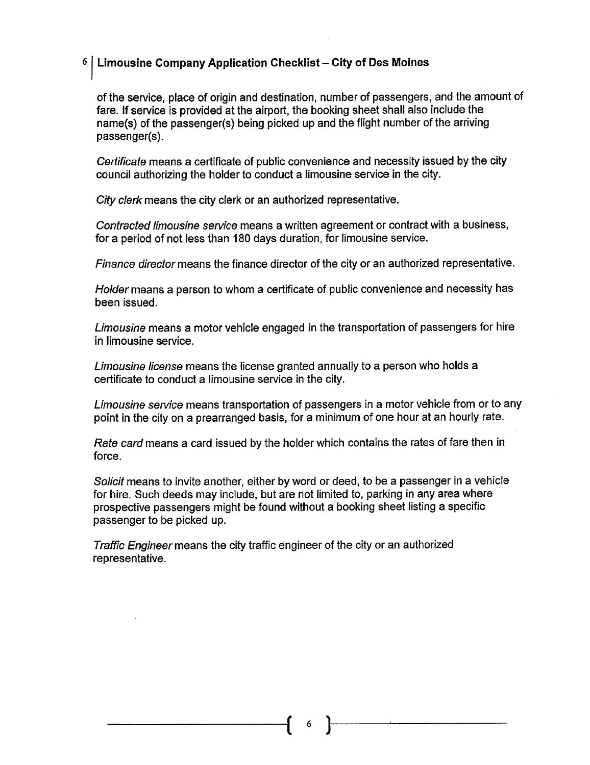#### $6$  Limousine Company Application Checklist - City of Des Moines

of the service, place of origin and destination, number of passengers, and the amount of fare. If service is provided at the airport, the booking sheet shall also include the name(s) of the passenger(s) being picked up and the flight number of the arriving passenger(s).

Certificate means a certificate of public convenience and necessity issued by the city council authorizing the holder to conduct a limousine service in the city.

City clerk means the city clerk or an authorized representative.

Contracted limousine service means a written agreement or contract with a business, for a period of not less than 180 days duration, for limousine service.

Finance director means the finance director of the city or an authorized representative.

Holder means a person to whom a certificate of public convenience and necessity has been issued.

Limousine means a motor vehicle engaged in the transportation of passengers for hire in limousine service.

Limousine license means the license granted annually to a person who holds a certificate to conduct a limousine service in the city. .

Limousine service means transportation of passengers in a motor vehicle from or to any point in the city on a prearranged basis, for a minimum of one hour at an hourly rate.

Rate card means a card issued by the holder which contains the rates of fare then in force.

Solicit means to invite another, either by word or deed, to be a passenger in a vehicle for hire. Such deeds may include, but are not limited to, parking in any area where prospective passengers might be found without a booking sheet listing a specific passenger to be picked up.

Traffic Engineer means the city traffic engineer of the city or an authorized representative.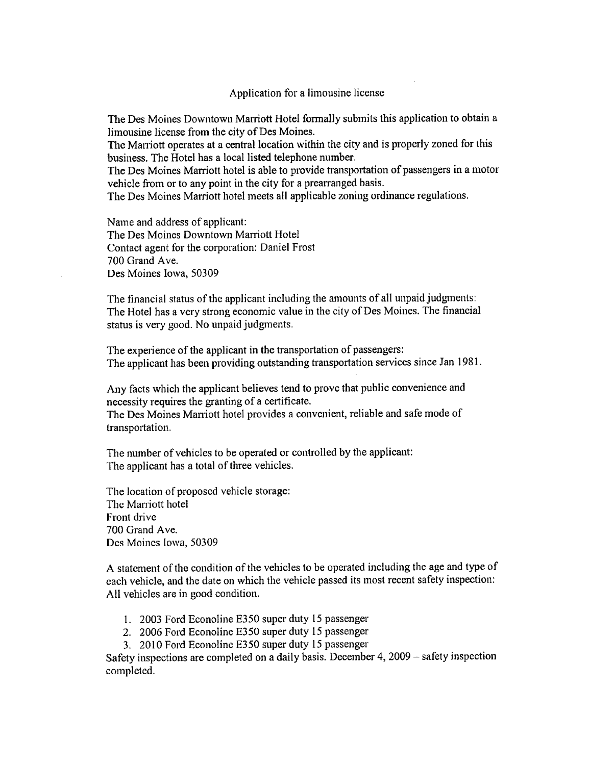The Des Moines Downtown Marriott Hotel formally submits this application to obtain a limousine license from the city of Des Moines.

The Marriott operates at a central location within the city and is properly zoned for this business. The Hotel has a local listed telephone number.

The Des Moines Marriott hotel is able to provide transportation of passengers in a motor vehicle from or to any point in the city for a prearranged basis.

The Des Moines Marriott hotel meets all applicable zoning ordinance regulations.

Name and address of applicant: The Des Moines Downtown Marriott Hotel Contact agent for the corporation: Daniel Frost 700 Grand Ave. Des Moines Iowa, 50309

The financial status of the applicant including the amounts of all unpaid judgments: The Hotel has a very strong economic value in the city of Des Moines. The financial status is very good. No unpaid judgments.

The experience of the applicant in the transportation of passengers: The applicant has been providing outstanding transportation services since Jan 1981.

Any facts which the applicant believes tend to prove that public convenience and necessity requires the granting of a certificate.

The Des Moines Maniott hotel provides a convenient, reliable and safe mode of transportation.

The number of vehicles to be operated or controlled by the applicant: The applicant has a total of three vehicles.

The location of proposed vehicle storage: The Marriott hotel Front drive 700 Grand Ave. Des Moines Iowa, 50309

A statement of the condition of the vehicles to be operated including the age and type of each vehicle, and the date on which the vehicle passed its most recent safety inspection: All vehicles are in good condition.

- I. 2003 Ford Econoline E350 super duty 15 passenger
- 2. 2006 Ford Econoline E350 super duty 15 passenger
- 3. 2010 Ford Econoline E350 super duty 15 passenger

Safety inspections are completed on a daily basis. December 4, 2009 – safety inspection completed.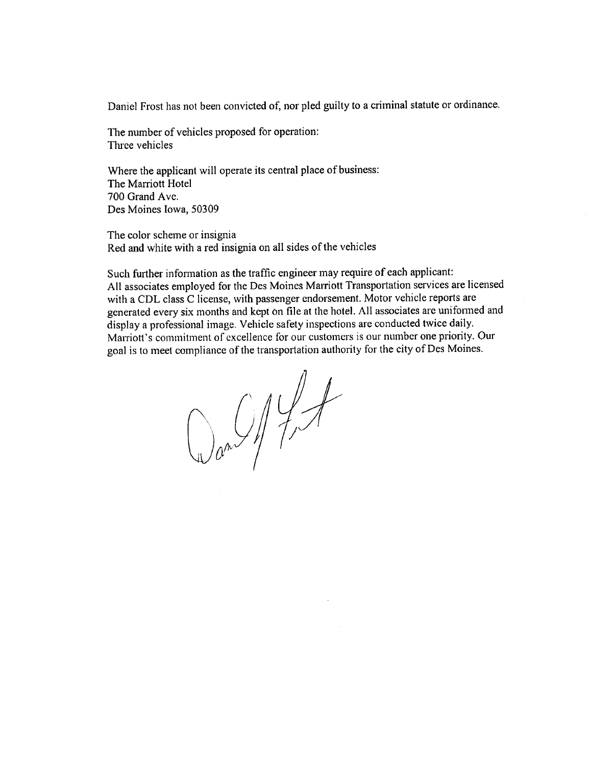Daniel Frost has not been convicted of, nor pled guilty to a criminal statute or ordinance.

The number of vehicles proposed for operation: Three vehicles

Where the applicant will operate its central place of business: The Marriott Hotel 700 Grand Ave. Des Moines Iowa, 50309

The color scheme or insignia Red and white with a red insignia on all sides of the vehicles

Such further information as the traffic engineer may require of each applicant: All associates employed for the Des Moines Marriott Transportation services are licensed with a CDL class C license, with passenger endorsement. Motor vehicle reports are generated every six months and kept on file at the hotel. All associates are uniformed and display a professional image. Vehicle safety inspections are conducted twicc daily. Marriott's commitment of excellence for our customers is our number one priority. Our goal is to meet compliance of the transportation authority for the city of Des Moines.

 $Q_{0}$   $Q_{1}$   $Q_{2}$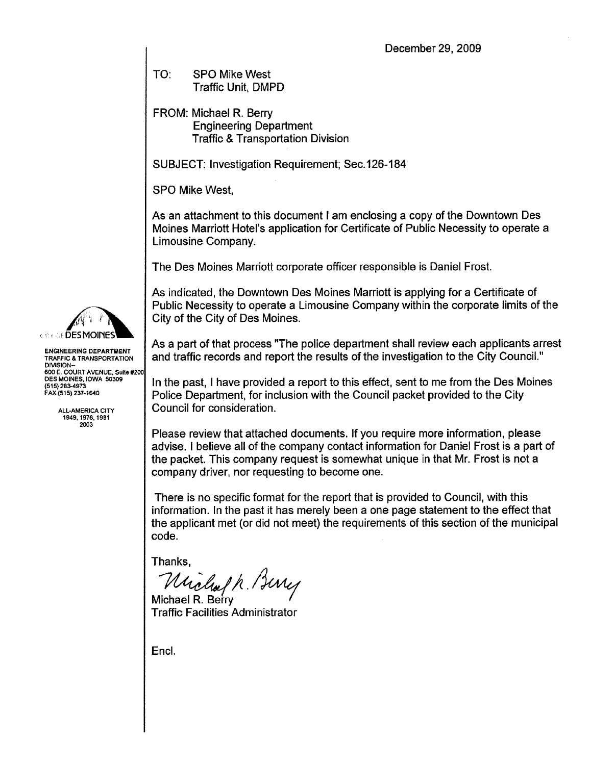TO: SPO Mike West Traffic Unit. DMPD

FROM: Michael R. Berry Engineering Department **Traffic & Transportation Division** 

SUBJECT: Investigation Requirement; Sec.126-184

SPO Mike West,

As an attachment to this document I am enclosing a copy of the Downtown Des Moines Marriott Hotel's application for Certificate of Public Necessity to operate a Limousine Company.

The Des Moines Marriott corporate officer responsible is Daniel Frost.

As indicated, the Downtown Des Moines Marriott is applying for a Certificate of Public Necessity to operate a Limousine Company within the corporate limits of the City of the City of Des Moines.

As a part of that process "The police department shall review each applicants arrest and traffic records and report the results of the investigation to the City CounciL."

In the past, I have provided a report to this effect, sent to me from the Des Moines Police Department, for inclusion with the Council packet provided to the City Council for consideration.

Please review that attached documents. If you require more information, please advise. I believe all of the company contact information for Daniel Frost is a part of the packet. This company request is somewhat unique in that Mr. Frost is not a company driver, nor requesting to become one.

There is no specific format for the report that is provided to Council, with this information. In the past it has merely been a one page statement to the effect that the applicant met (or did not meet) the requirements of this section of the municipal code.

Thanks,

Michael R. Bury

Michael R. Berry Traffic Facilties Administrator

Encl.



ENGINEERING DEPARTMENT TRAFIC & TRANSPORTATION **DIVISION** 600 E, COURT AVENUE, Suile #200 DES MOINES. IOWA 5030 (515) 283-4973 FAX (515) 237-1640

> ALL-AMERICA CITY 1949,1976.1981 2003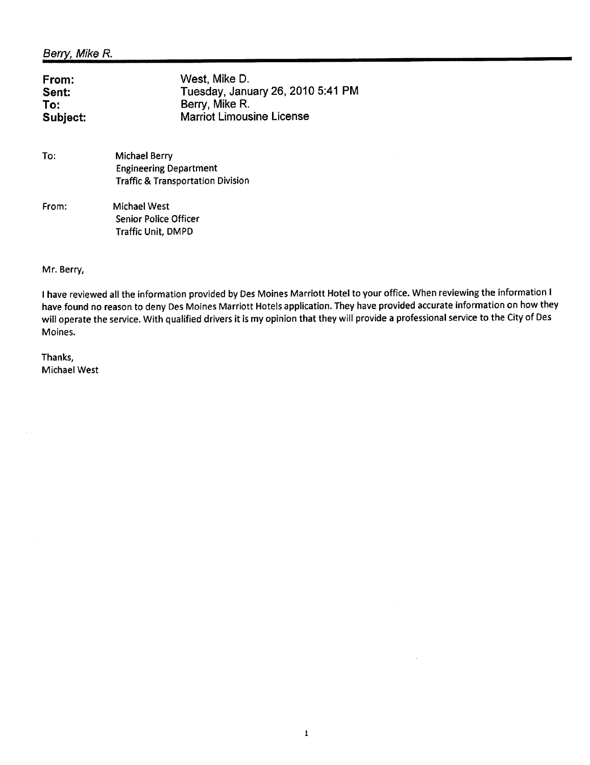| From:    | West, Mike D.                     |
|----------|-----------------------------------|
| Sent:    | Tuesday, January 26, 2010 5:41 PM |
| To:      | Berry, Mike R.                    |
| Subject: | <b>Marriot Limousine License</b>  |

| To: | Michael Berry                                |
|-----|----------------------------------------------|
|     | <b>Engineering Department</b>                |
|     | <b>Traffic &amp; Transportation Division</b> |
|     |                                              |

From: Michael West Senior Police Officer Traffic Unit, DMPD

Mr. Berry,

I have reviewed all the information provided by Des Moines Marriott Hotel to your office. When reviewing the information I have found no reason to deny Des Moines Marriott Hotels application. They have provided accurate information on how they wil operate the service. With qualified drivers it is my opinion that they will provide a professional service to the City of Des Moines.

1

Thanks, Michael West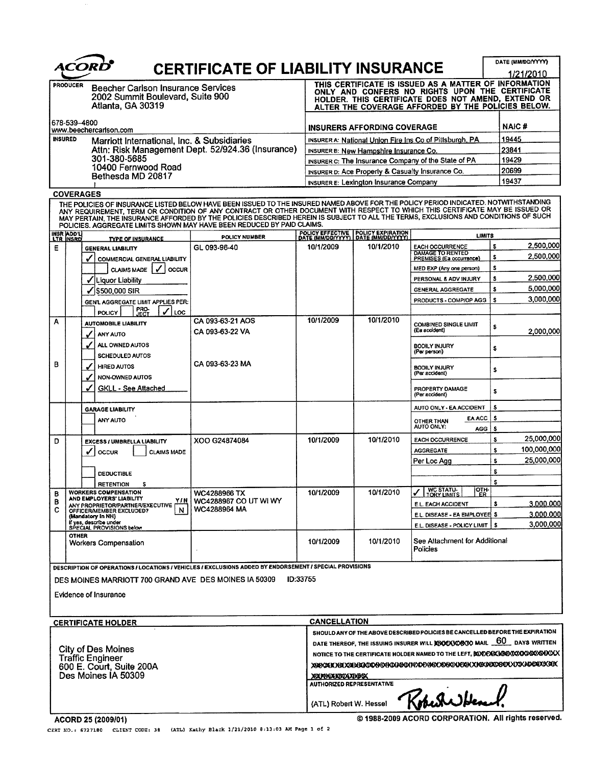|                                                                                                                                                                    |                                     | ACORD                                                                                                                                                                                                                                                                                                                                                                                                                                                                                |                                                                                                                                                                                                                                         |                                                            |                                                                                                                                                                                                                      |                                                                   | DATE (MM/DD/YYYY) |                        |
|--------------------------------------------------------------------------------------------------------------------------------------------------------------------|-------------------------------------|--------------------------------------------------------------------------------------------------------------------------------------------------------------------------------------------------------------------------------------------------------------------------------------------------------------------------------------------------------------------------------------------------------------------------------------------------------------------------------------|-----------------------------------------------------------------------------------------------------------------------------------------------------------------------------------------------------------------------------------------|------------------------------------------------------------|----------------------------------------------------------------------------------------------------------------------------------------------------------------------------------------------------------------------|-------------------------------------------------------------------|-------------------|------------------------|
| <b>CERTIFICATE OF LIABILITY INSURANCE</b><br><b>PRODUCER</b><br><b>Beecher Carlson Insurance Services</b><br>2002 Summit Boulevard, Suite 900<br>Atlanta, GA 30319 |                                     |                                                                                                                                                                                                                                                                                                                                                                                                                                                                                      |                                                                                                                                                                                                                                         |                                                            | THIS CERTIFICATE IS ISSUED AS A MATTER OF INFORMATION<br>ONLY AND CONFERS NO RIGHTS UPON THE CERTIFICATE<br>HOLDER. THIS CERTIFICATE DOES NOT AMEND, EXTEND OR<br>ALTER THE COVERAGE AFFORDED BY THE POLICIES BELOW. | 1/21/2010                                                         |                   |                        |
|                                                                                                                                                                    | 678-539-4800                        |                                                                                                                                                                                                                                                                                                                                                                                                                                                                                      |                                                                                                                                                                                                                                         |                                                            |                                                                                                                                                                                                                      |                                                                   | <b>NAIC#</b>      |                        |
|                                                                                                                                                                    | <b>INSURED</b>                      | www.beechercarlson.com<br>Marriott International, Inc. & Subsidiaries                                                                                                                                                                                                                                                                                                                                                                                                                |                                                                                                                                                                                                                                         |                                                            | INSURERS AFFORDING COVERAGE<br>INSURER A: National Union Fire Ins Co of Pittsburgh, PA                                                                                                                               |                                                                   |                   |                        |
| Attn: Risk Management Dept. 52/924.36 (Insurance)                                                                                                                  |                                     |                                                                                                                                                                                                                                                                                                                                                                                                                                                                                      | INSURER B: New Hampshire Insurance Co.                                                                                                                                                                                                  | 23841                                                      |                                                                                                                                                                                                                      |                                                                   |                   |                        |
|                                                                                                                                                                    | 301-380-5685<br>10400 Fernwood Road |                                                                                                                                                                                                                                                                                                                                                                                                                                                                                      |                                                                                                                                                                                                                                         | INSURER C: The Insurance Company of the State of PA        | 19429<br>20699                                                                                                                                                                                                       |                                                                   |                   |                        |
|                                                                                                                                                                    |                                     | Bethesda MD 20817                                                                                                                                                                                                                                                                                                                                                                                                                                                                    |                                                                                                                                                                                                                                         |                                                            | INSURER D: Ace Property & Casualty Insurance Co.                                                                                                                                                                     |                                                                   | 19437             |                        |
|                                                                                                                                                                    |                                     | <b>COVERAGES</b>                                                                                                                                                                                                                                                                                                                                                                                                                                                                     |                                                                                                                                                                                                                                         |                                                            | INSURER E: Lexington Insurance Company                                                                                                                                                                               |                                                                   |                   |                        |
|                                                                                                                                                                    |                                     | THE POLICIES OF INSURANCE LISTED BELOW HAVE BEEN ISSUED TO THE INSURED NAMED ABOVE FOR THE POLICY PERIOD INDICATED. NOTWITHSTANDING<br>ANY REQUIREMENT, TERM OR CONDITION OF ANY CONTRACT OR OTHER DOCUMENT WITH RESPECT TO WHICH THIS CERTIFICATE MAY BE ISSUED OR<br>MAY PERTAIN, THE INSURANCE AFFORDED BY THE POLICIES DESCRIBED HEREIN IS SUBJECT TO ALL THE TERMS, EXCLUSIONS AND CONDITIONS OF SUCH<br>POLICIES. AGGREGATE LIMITS SHOWN MAY HAVE BEEN REDUCED BY PAID CLAIMS. |                                                                                                                                                                                                                                         |                                                            |                                                                                                                                                                                                                      |                                                                   |                   |                        |
|                                                                                                                                                                    | INSR ADD'L                          | <b>TYPE OF INSURANCE</b>                                                                                                                                                                                                                                                                                                                                                                                                                                                             | POLICY NUMBER                                                                                                                                                                                                                           |                                                            | POLICY EFFECTIVE POLICY EXPIRATION<br>DATE (MM/DD/YYYY) DATE (MM/DD/YYYY)                                                                                                                                            | <b>LIMITS</b>                                                     |                   |                        |
| Ε                                                                                                                                                                  |                                     | <b>GENERAL LIABILITY</b>                                                                                                                                                                                                                                                                                                                                                                                                                                                             | GL 093-96-40                                                                                                                                                                                                                            | 10/1/2009                                                  | 10/1/2010                                                                                                                                                                                                            | <b>EACH OCCURRENCE</b><br><b>DAMAGE TO RENTED</b>                 | s<br>s.           | 2,500,000<br>2.500.000 |
|                                                                                                                                                                    |                                     | J<br>COMMERCIAL GENERAL LIABILITY<br>CLAIMS MADE V<br>l occur                                                                                                                                                                                                                                                                                                                                                                                                                        |                                                                                                                                                                                                                                         |                                                            |                                                                                                                                                                                                                      | PREMISES (Ea occurrence)<br>MED EXP (Any one person)              | s                 |                        |
|                                                                                                                                                                    |                                     | Liquor Liability<br>✔                                                                                                                                                                                                                                                                                                                                                                                                                                                                |                                                                                                                                                                                                                                         |                                                            |                                                                                                                                                                                                                      | PERSONAL & ADV INJURY                                             | \$                | 2,500,000              |
|                                                                                                                                                                    |                                     | \$500,000 SIR                                                                                                                                                                                                                                                                                                                                                                                                                                                                        |                                                                                                                                                                                                                                         |                                                            |                                                                                                                                                                                                                      | GENERAL AGGREGATE                                                 | s                 | 5,000,000              |
|                                                                                                                                                                    |                                     | GEN'L AGGREGATE LIMIT APPLIES PER:<br>PRO-<br>JECT                                                                                                                                                                                                                                                                                                                                                                                                                                   |                                                                                                                                                                                                                                         |                                                            |                                                                                                                                                                                                                      | PRODUCTS - COMP/OP AGG                                            | s                 | 3,000,000              |
| Α                                                                                                                                                                  |                                     | LOC<br><b>POLICY</b><br><b>AUTOMOBILE LIABILITY</b><br>ANY AUTO                                                                                                                                                                                                                                                                                                                                                                                                                      | CA 093-63-21 AOS<br>CA 093-63-22 VA                                                                                                                                                                                                     | 10/1/2009                                                  | 10/1/2010                                                                                                                                                                                                            | <b>COMBINED SINGLE LIMIT</b><br>(Ea accident)                     | s                 | 2.000.000              |
|                                                                                                                                                                    |                                     | ALL OWNED AUTOS                                                                                                                                                                                                                                                                                                                                                                                                                                                                      |                                                                                                                                                                                                                                         |                                                            |                                                                                                                                                                                                                      | <b>BODILY INJURY</b><br>(Per person)                              | s                 |                        |
| в                                                                                                                                                                  |                                     | <b>SCHEDULED AUTOS</b><br><b>HIRED AUTOS</b><br>NON-OWNED AUTOS                                                                                                                                                                                                                                                                                                                                                                                                                      | CA 093-63-23 MA                                                                                                                                                                                                                         |                                                            |                                                                                                                                                                                                                      | <b>BODILY INJURY</b><br>(Per accident)                            | \$                |                        |
|                                                                                                                                                                    |                                     | <b>GKLL - See Attached</b>                                                                                                                                                                                                                                                                                                                                                                                                                                                           |                                                                                                                                                                                                                                         |                                                            |                                                                                                                                                                                                                      | PROPERTY DAMAGE<br>(Per accident)                                 | s                 |                        |
|                                                                                                                                                                    |                                     | <b>GARAGE LIABILITY</b>                                                                                                                                                                                                                                                                                                                                                                                                                                                              |                                                                                                                                                                                                                                         |                                                            |                                                                                                                                                                                                                      | AUTO ONLY - EA ACCIDENT                                           | s                 |                        |
|                                                                                                                                                                    |                                     | ANY AUTO                                                                                                                                                                                                                                                                                                                                                                                                                                                                             |                                                                                                                                                                                                                                         |                                                            |                                                                                                                                                                                                                      | EA ACC<br>OTHER THAN<br>AUTO ONLY:<br>AGG                         | s<br>s            |                        |
| D                                                                                                                                                                  |                                     | EXCESS / UMBRELLA LIABILITY                                                                                                                                                                                                                                                                                                                                                                                                                                                          | XOO G24874084                                                                                                                                                                                                                           | 10/1/2009                                                  | 10/1/2010                                                                                                                                                                                                            | <b>EACH OCCURRENCE</b>                                            | 25,000,000<br>s   |                        |
|                                                                                                                                                                    |                                     | ✔<br>OCCUR<br><b>CLAIMS MADE</b>                                                                                                                                                                                                                                                                                                                                                                                                                                                     |                                                                                                                                                                                                                                         |                                                            |                                                                                                                                                                                                                      | <b>AGGREGATE</b>                                                  | 100,000,000<br>s  |                        |
|                                                                                                                                                                    |                                     | <b>DEDUCTIBLE</b>                                                                                                                                                                                                                                                                                                                                                                                                                                                                    |                                                                                                                                                                                                                                         |                                                            |                                                                                                                                                                                                                      | Per Loc Agg                                                       | s<br>S            | 25,000,000]            |
|                                                                                                                                                                    |                                     | <b>RETENTION</b><br>s                                                                                                                                                                                                                                                                                                                                                                                                                                                                |                                                                                                                                                                                                                                         |                                                            |                                                                                                                                                                                                                      |                                                                   | s                 |                        |
| в                                                                                                                                                                  |                                     | <b>WORKERS COMPENSATION</b><br>AND EMPLOYERS' LIABILITY                                                                                                                                                                                                                                                                                                                                                                                                                              | WC4288966 TX                                                                                                                                                                                                                            | 10/1/2009                                                  | 10/1/2010                                                                                                                                                                                                            | 이 <del>가</del><br>WC STATU-<br>TORY LIMITS                        |                   |                        |
| В<br>c                                                                                                                                                             |                                     | Y/N<br>ANY PROPRIETOR/PARTNER/EXECUTIVE<br>N<br>OFFICER/MEMBER EXCLUDED?                                                                                                                                                                                                                                                                                                                                                                                                             | WC4288967 CO UT WI WY<br>WC4288964 MA                                                                                                                                                                                                   |                                                            |                                                                                                                                                                                                                      | E.L. EACH ACCIDENT                                                | s                 | 3.000,000              |
|                                                                                                                                                                    |                                     | (Mandatory in NH)<br>if yes, describe under<br>SPECIAL PROVISIONS below                                                                                                                                                                                                                                                                                                                                                                                                              |                                                                                                                                                                                                                                         |                                                            |                                                                                                                                                                                                                      | E.L. DISEASE - EA EMPLOYEE \$<br>E.L. DISEASE - POLICY LIMIT   \$ |                   | 3.000.000<br>3,000,000 |
|                                                                                                                                                                    | <b>OTHER</b>                        | <b>Workers Compensation</b>                                                                                                                                                                                                                                                                                                                                                                                                                                                          |                                                                                                                                                                                                                                         | 10/1/2009                                                  | 10/1/2010                                                                                                                                                                                                            | See Attachment for Additional<br><b>Policies</b>                  |                   |                        |
|                                                                                                                                                                    |                                     | DESCRIPTION OF OPERATIONS / LOCATIONS / VEHICLES / EXCLUSIONS ADDED BY ENDORSEMENT / SPECIAL PROVISIONS<br>DES MOINES MARRIOTT 700 GRAND AVE DES MOINES IA 50309<br>Evidence of Insurance                                                                                                                                                                                                                                                                                            |                                                                                                                                                                                                                                         | <b>ID:33755</b>                                            |                                                                                                                                                                                                                      |                                                                   |                   |                        |
|                                                                                                                                                                    |                                     | <b>CERTIFICATE HOLDER</b>                                                                                                                                                                                                                                                                                                                                                                                                                                                            |                                                                                                                                                                                                                                         | <b>CANCELLATION</b>                                        |                                                                                                                                                                                                                      |                                                                   |                   |                        |
| City of Des Moines<br><b>Traffic Engineer</b><br>600 E. Court, Suite 200A<br>Des Moines IA 50309                                                                   |                                     |                                                                                                                                                                                                                                                                                                                                                                                                                                                                                      | SHOULD ANY OF THE ABOVE DESCRIBED POLICIES BE CANCELLED BEFORE THE EXPIRATION<br>DATE THEREOF, THE ISSUING INSURER WILL DOOCX308X30 MAIL 60 DAYS WRITTEN<br>NOTICE TO THE CERTIFICATE HOLDER NAMED TO THE LEFT, BUDEXICIOECOOGOSOSHXOLX |                                                            |                                                                                                                                                                                                                      |                                                                   |                   |                        |
|                                                                                                                                                                    |                                     |                                                                                                                                                                                                                                                                                                                                                                                                                                                                                      |                                                                                                                                                                                                                                         | <b>AUTHORIZED REPRESENTATIVE</b><br>(ATL) Robert W. Hessel |                                                                                                                                                                                                                      | Theone                                                            |                   |                        |
|                                                                                                                                                                    |                                     | ACORD 25 (2009/01)                                                                                                                                                                                                                                                                                                                                                                                                                                                                   |                                                                                                                                                                                                                                         |                                                            |                                                                                                                                                                                                                      | @ 1988-2009 ACORD CORPORATION. All rights reserved.               |                   |                        |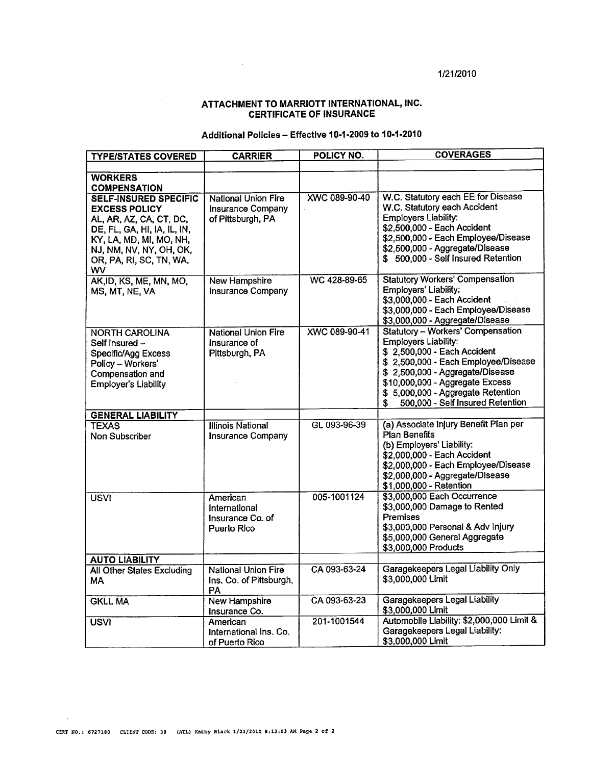#### 1/21/2010

#### ATTACHMENT TO MARRIOTT INTERNATIONAl,INC. CERTIFICATE OF INSURANCE

#### Additional Policies - Effective 10.1.2009 to 10.1.2010

| <b>TYPE/STATES COVERED</b>                                                                                                                                                                             | <b>CARRIER</b>                                                              | POLICY NO.    | <b>COVERAGES</b>                                                                                                                                                                                                                                                                             |
|--------------------------------------------------------------------------------------------------------------------------------------------------------------------------------------------------------|-----------------------------------------------------------------------------|---------------|----------------------------------------------------------------------------------------------------------------------------------------------------------------------------------------------------------------------------------------------------------------------------------------------|
|                                                                                                                                                                                                        |                                                                             |               |                                                                                                                                                                                                                                                                                              |
| <b>WORKERS</b><br><b>COMPENSATION</b>                                                                                                                                                                  |                                                                             |               |                                                                                                                                                                                                                                                                                              |
| <b>SELF-INSURED SPECIFIC</b><br><b>EXCESS POLICY</b><br>AL, AR, AZ, CA, CT, DC,<br>DE, FL, GA, HI, IA, IL, IN,<br>KY, LA, MD, MI, MO, NH,<br>NJ, NM, NV, NY, OH, OK,<br>OR, PA, RI, SC, TN, WA,<br>wv. | <b>National Union Fire</b><br><b>Insurance Company</b><br>of Pittsburgh, PA | XWC 089-90-40 | W.C. Statutory each EE for Disease<br>W.C. Statutory each Accident<br><b>Employers Liability:</b><br>\$2,500,000 - Each Accident<br>\$2,500,000 - Each Employee/Disease<br>\$2,500,000 - Aggregate/Disease<br>\$500,000 - Self Insured Retention                                             |
| AK, ID, KS, ME, MN, MO,<br>MS, MT, NE, VA                                                                                                                                                              | <b>New Hampshire</b><br>Insurance Company                                   | WC 428-89-65  | <b>Statutory Workers' Compensation</b><br>Employers' Liability:<br>\$3,000,000 - Each Accident<br>\$3,000,000 - Each Employee/Disease<br>\$3,000,000 - Aggregate/Disease                                                                                                                     |
| <b>NORTH CAROLINA</b><br>Self Insured –<br>Specific/Agg Excess<br>Policy - Workers'<br>Compensation and<br><b>Employer's Liability</b>                                                                 | National Union Fire<br>Insurance of<br>Pittsburgh, PA                       | XWC 089-90-41 | <b>Statutory - Workers' Compensation</b><br><b>Employers Liability:</b><br>\$2,500,000 - Each Accident<br>\$2,500,000 - Each Employee/Disease<br>\$2,500,000 - Aggregate/Disease<br>\$10,000,000 - Aggregate Excess<br>\$5,000,000 - Aggregate Retention<br>500,000 - Self Insured Retention |
| <b>GENERAL LIABILITY</b>                                                                                                                                                                               |                                                                             |               |                                                                                                                                                                                                                                                                                              |
| <b>TEXAS</b><br>Non Subscriber                                                                                                                                                                         | <b>Illinois National</b><br>Insurance Company                               | GL 093-96-39  | (a) Associate Injury Benefit Plan per<br>Plan Benefits<br>(b) Employers' Liability:<br>\$2,000,000 - Each Accident<br>\$2,000,000 - Each Employee/Disease<br>\$2,000,000 - Aggregate/Disease<br>\$1,000,000 - Retention                                                                      |
| <b>USVI</b>                                                                                                                                                                                            | American<br>International<br>Insurance Co. of<br>Puerto Rico                | 005-1001124   | \$3,000,000 Each Occurrence<br>\$3,000,000 Damage to Rented<br>Premises<br>\$3,000,000 Personal & Adv Injury<br>\$5,000,000 General Aggregate<br>\$3,000,000 Products                                                                                                                        |
| <b>AUTO LIABILITY</b>                                                                                                                                                                                  |                                                                             |               |                                                                                                                                                                                                                                                                                              |
| <b>All Other States Excluding</b><br>MA.                                                                                                                                                               | <b>National Union Fire</b><br>Ins. Co. of Pittsburgh,<br>PA                 | CA 093-63-24  | Garagekeepers Legal Liability Only<br>\$3,000,000 Limit                                                                                                                                                                                                                                      |
| <b>GKLL MA</b>                                                                                                                                                                                         | New Hampshire<br>Insurance Co.                                              | CA 093-63-23  | <b>Garagekeepers Legal Liability</b><br>\$3,000,000 Limit                                                                                                                                                                                                                                    |
| <b>USVI</b>                                                                                                                                                                                            | American<br>International Ins. Co.<br>of Puerto Rico                        | 201-1001544   | Automobile Liability: \$2,000,000 Limit &<br>Garagekeepers Legal Liability:<br>\$3,000,000 Limit                                                                                                                                                                                             |

 $\bar{\omega}$